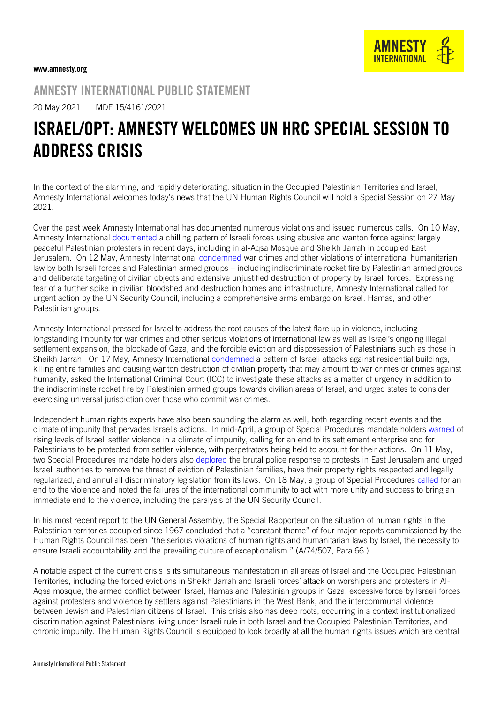

AMNESTY INTERNATIONAL PUBLIC STATEMENT

20 May 2021 MDE 15/4161/2021

## ISRAEL/OPT: AMNESTY WELCOMES UN HRC SPECIAL SESSION TO ADDRESS CRISIS

In the context of the alarming, and rapidly deteriorating, situation in the Occupied Palestinian Territories and Israel, Amnesty International welcomes today's news that the UN Human Rights Council will hold a Special Session on 27 May 2021.

Over the past week Amnesty International has documented numerous violations and issued numerous calls. On 10 May, Amnesty International [documented](https://www.amnesty.org/en/latest/news/2021/05/israel-opt-end-brutal-repression-of-palestinians-protesting-forced-displacement-in-occupied-east-jerusalem/) a chilling pattern of Israeli forces using abusive and wanton force against largely peaceful Palestinian protesters in recent days, including in al-Aqsa Mosque and Sheikh Jarrah in occupied East Jerusalem. On 12 May, Amnesty International [condemned](https://www.amnesty.org/en/latest/news/2021/05/israel-opt-cycle-of-impunity-leaves-civilians-once-again-paying-the-price-amid-escalation-of-hostilities/) war crimes and other violations of international humanitarian law by both Israeli forces and Palestinian armed groups – including indiscriminate rocket fire by Palestinian armed groups and deliberate targeting of civilian objects and extensive unjustified destruction of property by Israeli forces. Expressing fear of a further spike in civilian bloodshed and destruction homes and infrastructure, Amnesty International called for urgent action by the UN Security Council, including a comprehensive arms embargo on Israel, Hamas, and other Palestinian groups.

Amnesty International pressed for Israel to address the root causes of the latest flare up in violence, including longstanding impunity for war crimes and other serious violations of international law as well as Israel's ongoing illegal settlement expansion, the blockade of Gaza, and the forcible eviction and dispossession of Palestinians such as those in Sheikh Jarrah. On 17 May, Amnesty International [condemned](https://www.amnesty.org/en/latest/news/2021/05/israelopt-pattern-of-israeli-attacks-on-residential-homes-in-gaza-must-be-investigated-as-war-crimes/) a pattern of Israeli attacks against residential buildings, killing entire families and causing wanton destruction of civilian property that may amount to war crimes or crimes against humanity, asked the International Criminal Court (ICC) to investigate these attacks as a matter of urgency in addition to the indiscriminate rocket fire by Palestinian armed groups towards civilian areas of Israel, and urged states to consider exercising universal jurisdiction over those who commit war crimes.

Independent human rights experts have also been sounding the alarm as well, both regarding recent events and the climate of impunity that pervades Israel's actions. In mid-April, a group of Special Procedures mandate holders [warned](https://www.ohchr.org/EN/NewsEvents/Pages/DisplayNews.aspx?NewsID=26991&LangID=E) of rising levels of Israeli settler violence in a climate of impunity, calling for an end to its settlement enterprise and for Palestinians to be protected from settler violence, with perpetrators being held to account for their actions. On 11 May, two Special Procedures mandate holders also [deplored](https://www.ohchr.org/EN/NewsEvents/Pages/DisplayNews.aspx?NewsID=27083&LangID=E) the brutal police response to protests in East Jerusalem and urged Israeli authorities to remove the threat of eviction of Palestinian families, have their property rights respected and legally regularized, and annul all discriminatory legislation from its laws. On 18 May, a group of Special Procedures [called](https://www.ohchr.org/en/NewsEvents/Pages/DisplayNews.aspx?NewsID=27102&LangID=E) for an end to the violence and noted the failures of the international community to act with more unity and success to bring an immediate end to the violence, including the paralysis of the UN Security Council.

In his most recent report to the UN General Assembly, the Special Rapporteur on the situation of human rights in the Palestinian territories occupied since 1967 concluded that a "constant theme" of four major reports commissioned by the Human Rights Council has been "the serious violations of human rights and humanitarian laws by Israel, the necessity to ensure Israeli accountability and the prevailing culture of exceptionalism." (A/74/507, Para 66.)

A notable aspect of the current crisis is its simultaneous manifestation in all areas of Israel and the Occupied Palestinian Territories, including the forced evictions in Sheikh Jarrah and Israeli forces' attack on worshipers and protesters in Al-Aqsa mosque, the armed conflict between Israel, Hamas and Palestinian groups in Gaza, excessive force by Israeli forces against protesters and violence by settlers against Palestinians in the West Bank, and the intercommunal violence between Jewish and Palestinian citizens of Israel. This crisis also has deep roots, occurring in a context institutionalized discrimination against Palestinians living under Israeli rule in both Israel and the Occupied Palestinian Territories, and chronic impunity. The Human Rights Council is equipped to look broadly at all the human rights issues which are central